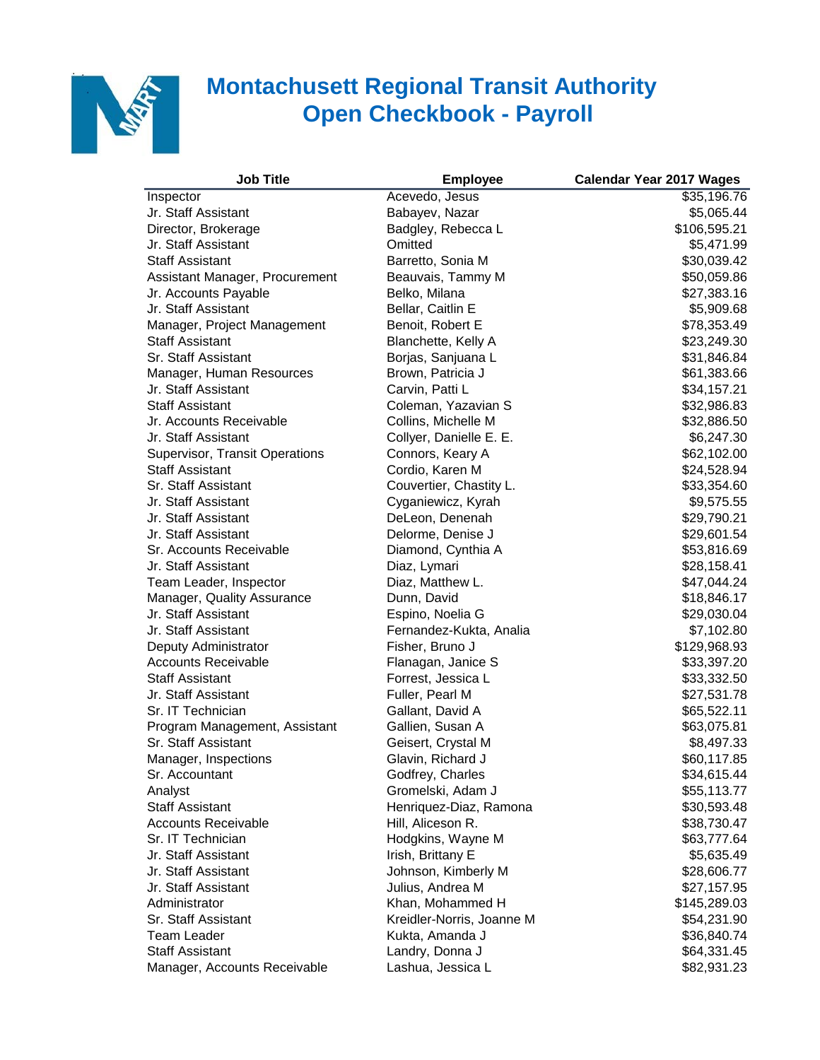

## **Montachusett Regional Transit Authority Open Checkbook - Payroll**

| <b>Job Title</b>               | <b>Employee</b>           | <b>Calendar Year 2017 Wages</b> |
|--------------------------------|---------------------------|---------------------------------|
| Inspector                      | Acevedo, Jesus            | \$35,196.76                     |
| Jr. Staff Assistant            | Babayev, Nazar            | \$5,065.44                      |
| Director, Brokerage            | Badgley, Rebecca L        | \$106,595.21                    |
| Jr. Staff Assistant            | Omitted                   | \$5,471.99                      |
| <b>Staff Assistant</b>         | Barretto, Sonia M         | \$30,039.42                     |
| Assistant Manager, Procurement | Beauvais, Tammy M         | \$50,059.86                     |
| Jr. Accounts Payable           | Belko, Milana             | \$27,383.16                     |
| Jr. Staff Assistant            | Bellar, Caitlin E         | \$5,909.68                      |
| Manager, Project Management    | Benoit, Robert E          | \$78,353.49                     |
| <b>Staff Assistant</b>         | Blanchette, Kelly A       | \$23,249.30                     |
| Sr. Staff Assistant            | Borjas, Sanjuana L        | \$31,846.84                     |
| Manager, Human Resources       | Brown, Patricia J         | \$61,383.66                     |
| Jr. Staff Assistant            | Carvin, Patti L           | \$34,157.21                     |
| <b>Staff Assistant</b>         | Coleman, Yazavian S       | \$32,986.83                     |
| Jr. Accounts Receivable        | Collins, Michelle M       | \$32,886.50                     |
| Jr. Staff Assistant            | Collyer, Danielle E. E.   | \$6,247.30                      |
| Supervisor, Transit Operations | Connors, Keary A          | \$62,102.00                     |
| <b>Staff Assistant</b>         | Cordio, Karen M           | \$24,528.94                     |
| Sr. Staff Assistant            | Couvertier, Chastity L.   | \$33,354.60                     |
| Jr. Staff Assistant            | Cyganiewicz, Kyrah        | \$9,575.55                      |
| Jr. Staff Assistant            | DeLeon, Denenah           | \$29,790.21                     |
| Jr. Staff Assistant            | Delorme, Denise J         | \$29,601.54                     |
| Sr. Accounts Receivable        | Diamond, Cynthia A        | \$53,816.69                     |
| Jr. Staff Assistant            | Diaz, Lymari              | \$28,158.41                     |
| Team Leader, Inspector         | Diaz, Matthew L.          | \$47,044.24                     |
| Manager, Quality Assurance     | Dunn, David               | \$18,846.17                     |
| Jr. Staff Assistant            | Espino, Noelia G          | \$29,030.04                     |
| Jr. Staff Assistant            | Fernandez-Kukta, Analia   | \$7,102.80                      |
| Deputy Administrator           | Fisher, Bruno J           | \$129,968.93                    |
| <b>Accounts Receivable</b>     | Flanagan, Janice S        | \$33,397.20                     |
| <b>Staff Assistant</b>         | Forrest, Jessica L        | \$33,332.50                     |
| Jr. Staff Assistant            | Fuller, Pearl M           | \$27,531.78                     |
| Sr. IT Technician              | Gallant, David A          | \$65,522.11                     |
| Program Management, Assistant  | Gallien, Susan A          | \$63,075.81                     |
| Sr. Staff Assistant            | Geisert, Crystal M        | \$8,497.33                      |
| Manager, Inspections           | Glavin, Richard J         | \$60,117.85                     |
| Sr. Accountant                 | Godfrey, Charles          | \$34,615.44                     |
| Analyst                        | Gromelski, Adam J         | \$55,113.77                     |
| <b>Staff Assistant</b>         | Henriquez-Diaz, Ramona    | \$30,593.48                     |
| <b>Accounts Receivable</b>     | Hill, Aliceson R.         | \$38,730.47                     |
| Sr. IT Technician              | Hodgkins, Wayne M         | \$63,777.64                     |
| Jr. Staff Assistant            | Irish, Brittany E         | \$5,635.49                      |
| Jr. Staff Assistant            | Johnson, Kimberly M       | \$28,606.77                     |
| Jr. Staff Assistant            | Julius, Andrea M          | \$27,157.95                     |
| Administrator                  | Khan, Mohammed H          | \$145,289.03                    |
| Sr. Staff Assistant            | Kreidler-Norris, Joanne M | \$54,231.90                     |
| Team Leader                    | Kukta, Amanda J           | \$36,840.74                     |
| <b>Staff Assistant</b>         | Landry, Donna J           | \$64,331.45                     |
| Manager, Accounts Receivable   | Lashua, Jessica L         | \$82,931.23                     |